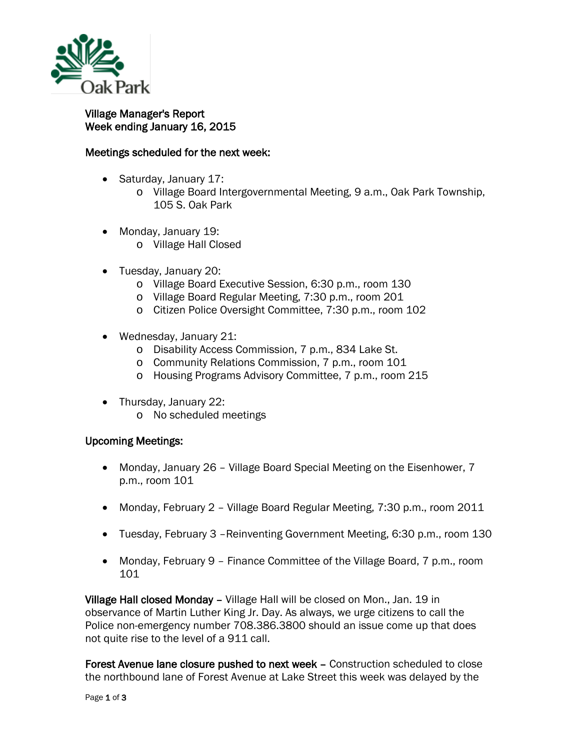

## Village Manager's Report Week ending January 16, 2015

## Meetings scheduled for the next week:

- Saturday, January 17:
	- o Village Board Intergovernmental Meeting, 9 a.m., Oak Park Township, 105 S. Oak Park
- Monday, January 19:
	- o Village Hall Closed
- Tuesday, January 20:
	- o Village Board Executive Session, 6:30 p.m., room 130
	- o Village Board Regular Meeting, 7:30 p.m., room 201
	- o Citizen Police Oversight Committee, 7:30 p.m., room 102
- Wednesday, January 21:
	- o Disability Access Commission, 7 p.m., 834 Lake St.
	- o Community Relations Commission, 7 p.m., room 101
	- o Housing Programs Advisory Committee, 7 p.m., room 215
- Thursday, January 22:
	- o No scheduled meetings

## Upcoming Meetings:

- Monday, January 26 Village Board Special Meeting on the Eisenhower, 7 p.m., room 101
- Monday, February 2 Village Board Regular Meeting, 7:30 p.m., room 2011
- Tuesday, February 3 Reinventing Government Meeting, 6:30 p.m., room 130
- Monday, February 9 Finance Committee of the Village Board, 7 p.m., room 101

Village Hall closed Monday – Village Hall will be closed on Mon., Jan. 19 in observance of Martin Luther King Jr. Day. As always, we urge citizens to call the Police non-emergency number 708.386.3800 should an issue come up that does not quite rise to the level of a 911 call.

Forest Avenue lane closure pushed to next week – Construction scheduled to close the northbound lane of Forest Avenue at Lake Street this week was delayed by the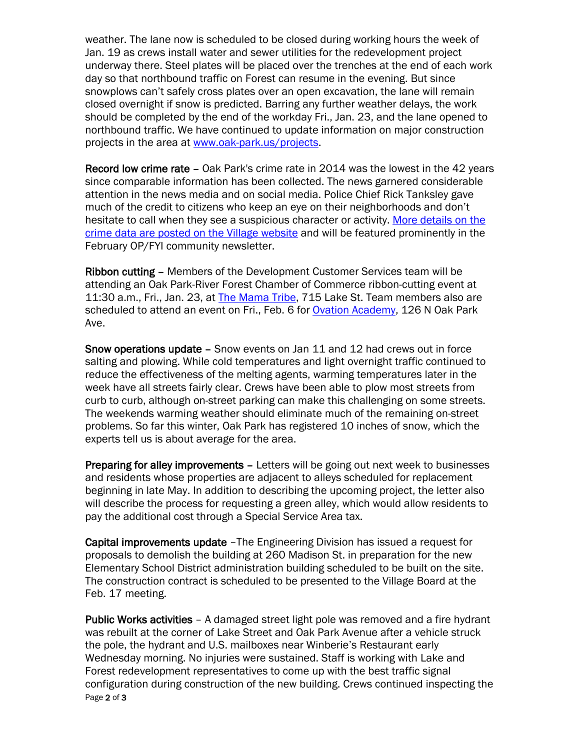weather. The lane now is scheduled to be closed during working hours the week of Jan. 19 as crews install water and sewer utilities for the redevelopment project underway there. Steel plates will be placed over the trenches at the end of each work day so that northbound traffic on Forest can resume in the evening. But since snowplows can't safely cross plates over an open excavation, the lane will remain closed overnight if snow is predicted. Barring any further weather delays, the work should be completed by the end of the workday Fri., Jan. 23, and the lane opened to northbound traffic. We have continued to update information on major construction projects in the area at [www.oak-park.us/projects.](http://r20.rs6.net/tn.jsp?e=001W6zpHz3IjLTIfDgPs52qha1nY1qQcb7NB6sJj_GVq8Tk-eBzPy1f7hxru8kyUnmF13_GnVybS5AUu0jSjBfQMlCo9B2b8-9OmbwXJTK7IZyVf_n0bPS1Cg==)

Record low crime rate – Oak Park's crime rate in 2014 was the lowest in the 42 years since comparable information has been collected. The news garnered considerable attention in the news media and on social media. Police Chief Rick Tanksley gave much of the credit to citizens who keep an eye on their neighborhoods and don't hesitate to call when they see a suspicious character or activity. [More details on the](http://r20.rs6.net/tn.jsp?e=001W6zpHz3IjLTIfDgPs52qha1nY1qQcb7NB6sJj_GVq8Tk-eBzPy1f7hxru8kyUnmF13_GnVybS5AUu0jSjBfQMlCo9B2b8-9OTs8BhJpv7x5s7_cOT-AGoSrP7T8MWzpIXO2J7KNPnLyhg1WJcWoCnA==)  [crime data are posted on the Village website](http://r20.rs6.net/tn.jsp?e=001W6zpHz3IjLTIfDgPs52qha1nY1qQcb7NB6sJj_GVq8Tk-eBzPy1f7hxru8kyUnmF13_GnVybS5AUu0jSjBfQMlCo9B2b8-9OTs8BhJpv7x5s7_cOT-AGoSrP7T8MWzpIXO2J7KNPnLyhg1WJcWoCnA==) and will be featured prominently in the February OP/FYI community newsletter.

Ribbon cutting – Members of the Development Customer Services team will be attending an Oak Park-River Forest Chamber of Commerce ribbon-cutting event at 11:30 a.m., Fri., Jan. 23, at [The Mama Tribe,](http://business.oprfchamber.org/list/member/the-mama-tribe-1123) 715 Lake St. Team members also are scheduled to attend an event on Fri., Feb. 6 for [Ovation Academy,](http://www.ovationacademy.org/home/) 126 N Oak Park Ave.

Snow operations update - Snow events on Jan 11 and 12 had crews out in force salting and plowing. While cold temperatures and light overnight traffic continued to reduce the effectiveness of the melting agents, warming temperatures later in the week have all streets fairly clear. Crews have been able to plow most streets from curb to curb, although on-street parking can make this challenging on some streets. The weekends warming weather should eliminate much of the remaining on-street problems. So far this winter, Oak Park has registered 10 inches of snow, which the experts tell us is about average for the area.

Preparing for alley improvements – Letters will be going out next week to businesses and residents whose properties are adjacent to alleys scheduled for replacement beginning in late May. In addition to describing the upcoming project, the letter also will describe the process for requesting a green alley, which would allow residents to pay the additional cost through a Special Service Area tax.

Capital improvements update –The Engineering Division has issued a request for proposals to demolish the building at 260 Madison St. in preparation for the new Elementary School District administration building scheduled to be built on the site. The construction contract is scheduled to be presented to the Village Board at the Feb. 17 meeting.

Public Works activities - A damaged street light pole was removed and a fire hydrant was rebuilt at the corner of Lake Street and Oak Park Avenue after a vehicle struck the pole, the hydrant and U.S. mailboxes near Winberie's Restaurant early Wednesday morning. No injuries were sustained. Staff is working with Lake and Forest redevelopment representatives to come up with the best traffic signal configuration during construction of the new building. Crews continued inspecting the Page 2 of 3